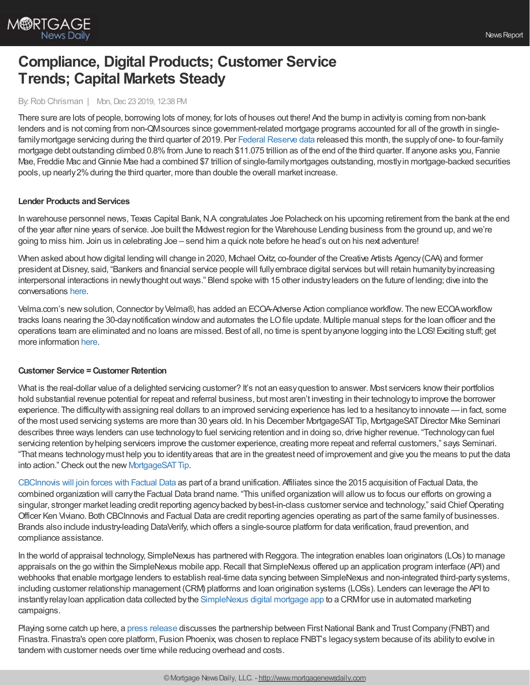

# **Compliance, Digital Products; Customer Service Trends; Capital Markets Steady**

#### By:Rob Chrisman | Mon, Dec 23 2019, 12:38 PM

There sure are lots of people, borrowing lots of money, for lots of houses out there! And the bump in activityis coming from non-bank lenders and is not coming from non-QMsources since government-related mortgage programs accounted for all of the growth in single-family mortgage servicing during the third quarter of 2019. Per Federal [Reserve](https://www.federalreserve.gov/data/mortoutstand/current.htm) data released this month, the supply of one- to four-family mortgage debt outstanding climbed 0.8% from June to reach \$11.075 trillion as of the end of the third quarter. If anyone asks you, Fannie Mae, Freddie Mac and Ginnie Mae had a combined \$7 trillion of single-family mortgages outstanding, mostly in mortgage-backed securities pools, up nearly 2% during the third quarter, more than double the overall market increase.

## **Lender Products and Services**

In warehouse personnel news, Texas Capital Bank, N.A. congratulates Joe Polacheck on his upcoming retirement from the bank at the end of the year after nine years of service. Joe built the Midwest region for the Warehouse Lending business from the ground up, and we're going to miss him. Join us in celebrating Joe – send him a quick note before he head's out on his next adventure!

When asked about how digital lending will change in 2020, Michael Ovitz, co-founder of the Creative Artists Agency (CAA) and former president at Disney, said, "Bankers and financial service people will fully embrace digital services but will retain humanity by increasing interpersonal interactions in newlythought outways." Blend spoke with 15 other industryleaders on the future of lending; dive into the conversations [here.](https://blend.com/DL2020/?utm_source=chrisman&utm_medium=email&utm_campaign=dl2020)

Velma.com's newsolution,Connector byVelma®, has added an ECOA-Adverse Action compliance workflow. The newECOAworkflow tracks loans nearing the 30-daynotification windowand automates the LOfile update. Multiple manual steps for the loan officer and the operations team are eliminated and no loans are missed. Best of all, no time is spent byanyone logging into the LOS! Exciting stuff; get more information [here](http://www.meetconnector.com/#/ecoa-regb).

## **Customer Service =Customer Retention**

What is the real-dollar value of a delighted servicing customer? It's not an easy question to answer. Most servicers know their portfolios hold substantial revenue potential for repeat and referral business, but most aren't investing in their technologyto improve the borrower experience. The difficultywith assigning real dollars to an improved servicing experience has led to a hesitancyto innovate —in fact, some of the most used servicing systems are more than 30 years old. In his December MortgageSATTip, MortgageSATDirector Mike Seminari describes three ways lenders can use technologyto fuel servicing retention and in doing so, drive higher revenue. "Technologycan fuel servicing retention by helping servicers improve the customer experience, creating more repeat and referral customers," says Seminari. "That means technologymust help you to identityareas that are in the greatest need of improvement and give you the means to put the data into action." Check out the new MortgageSAT Tip.

[CBCInnovis](https://www.cbcinnovis.com/unification.html) will join forces with Factual Data as part of a brand unification. Affiliates since the 2015 acquisition of Factual Data, the combined organization will carrythe Factual Data brand name. "This unified organization will allowus to focus our efforts on growing a singular, stronger market leading credit reporting agency backed by best-in-class customer service and technology," said Chief Operating Officer Ken Viviano. Both CBCInnovis and Factual Data are credit reporting agencies operating as part of the same familyof businesses. Brands also include industry-leading DataVerify,which offers a single-source platform for data verification, fraud prevention, and compliance assistance.

In the world of appraisal technology, SimpleNexus has partnered with Reggora. The integration enables loan originators (LOs) to manage appraisals on the go within the SimpleNexus mobile app. Recall that SimpleNexus offered up an application program interface (API) and webhooks that enable mortgage lenders to establish real-time data syncing between SimpleNexus and non-integrated third-partysystems, including customer relationship management (CRM) platforms and loan origination systems (LOSs). Lenders can leverage the API to instantlyrelayloan application data collected bythe [SimpleNexus](https://simplenexus.com/domore) digital mortgage app to a CRMfor use in automated marketing campaigns.

Playing some catch up here, a press [release](https://www.finastra.com/news-events/press-releases/fnbt-grow-its-business-finastras-open-core) discusses the partnership between First National Bank and Trust Company (FNBT) and Finastra. Finastra's open core platform, Fusion Phoenix,was chosen to replace FNBT's legacysystem because of its abilityto evolve in tandem with customer needs over time while reducing overhead and costs.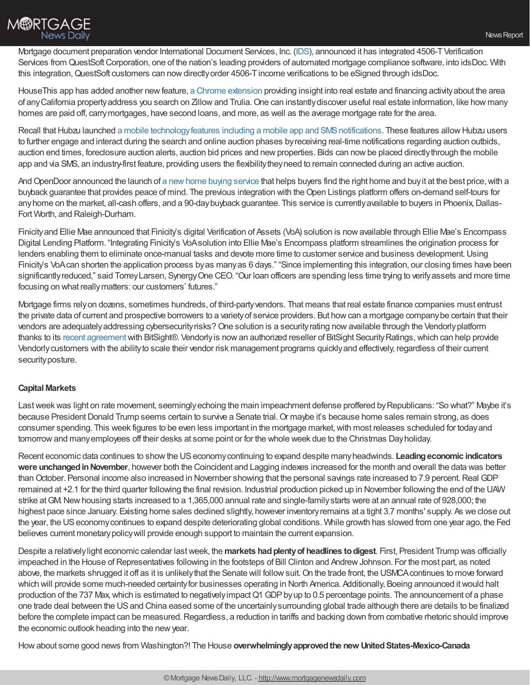

Mortgage document preparation vendor International Document Services, Inc. [\(IDS](https://info.idsdoc.com/)), announced it has integrated 4506-TVerification Services from QuestSoft Corporation, one of the nation's leading providers of automated mortgage compliance software, into idsDoc. With this integration,QuestSoft customers can nowdirectlyorder 4506-Tincome verifications to be eSigned through idsDoc.

HouseThis app has added another new feature, a Chrome [extension](http://www.housethis.app/) providing insight into real estate and financing activity about the area of anyCalifornia propertyaddress you search on Zillowand Trulia.One can instantlydiscover useful real estate information, like how many homes are paid off, carrymortgages, have second loans, and more, as well as the average mortgage rate for the area.

Recall that Hubzu launched a mobile technology features including a mobile app and SMS notifications. These features allow Hubzu users to further engage and interact during the search and online auction phases byreceiving real-time notifications regarding auction outbids, auction end times, foreclosure auction alerts, auction bid prices and new properties. Bids can now be placed directly through the mobile app and via SMS, an industry-first feature, providing users the flexibility they need to remain connected during an active auction.

And OpenDoor announced the launch of a new home buying service that helps buyers find the right home and buy it at the best price, with a buyback guarantee that provides peace of mind. The previous integration with theOpen Listings platform offers on-demand self-tours for any home on the market, all-cash offers, and a 90-day buyback guarantee. This service is currently available to buyers in Phoenix, Dallas-Fort Worth, and Raleigh-Durham.

Finicityand Ellie Mae announced that Finicity's digital Verification of Assets (VoA) solution is nowavailable through Ellie Mae's Encompass Digital Lending Platform. "Integrating Finicity's VoAsolution into Ellie Mae's Encompass platform streamlines the origination process for lenders enabling them to eliminate once-manual tasks and devote more time to customer service and business development. Using Finicity's VoAcan shorten the application process byas manyas 6 days." "Since implementing this integration, our closing times have been significantlyreduced," said TorreyLarsen, SynergyOne CEO. "Our loan officers are spending less time trying to verifyassets and more time focusing on what reallymatters: our customers' futures."

Mortgage firms relyon dozens, sometimes hundreds, of third-partyvendors. That means that real estate finance companies must entrust the private data of current and prospective borrowers to a varietyof service providers. But howcan a mortgage companybe certain that their vendors are adequately addressing cybersecurity risks? One solution is a security rating now available through the Vendorly platform thanks to its recent [agreement](https://altisource.com/News-Articles/Press-Releases/2019/03/Vendorly-Announces-Agreement-with-BitSight)with BitSight®. Vendorlyis nowan authorized reseller of BitSight SecurityRatings,which can help provide Vendorlycustomers with the abilityto scale their vendor risk management programs quicklyand effectively, regardless of their current security posture.

## **Capital Markets**

Last week was light on rate movement, seemingly echoing the main impeachment defense proffered by Republicans: "So what?" Maybe it's because President Donald Trump seems certain to survive a Senate trial. Or maybe it's because home sales remain strong, as does consumer spending. This week figures to be even less important in the mortgage market,with most releases scheduled for todayand tomorrowand manyemployees off their desks at some point or for the whole week due to the Christmas Dayholiday.

Recent economic data continues to showthe USeconomycontinuing to expand despite manyheadwinds. **Leadingeconomic indicators were unchanged in November**, however both the Coincident and Lagging indexes increased for the month and overall the data was better than October. Personal income also increased in November showing that the personal savings rate increased to 7.9 percent. Real GDP remained at +2.1 for the third quarter following the final revision. Industrial production picked up in November following the end of the UAW strike atGM.Newhousing starts increased to a 1,365,000 annual rate and single-familystarts were at an annual rate of 928,000; the highest pace since January. Existing home sales declined slightly, however inventory remains at a tight 3.7 months' supply. As we close out the year, the USeconomycontinues to expand despite deteriorating global conditions. While growth has slowed from one year ago, the Fed believes current monetarypolicywill provide enough support to maintain the current expansion.

Despite a relativelylight economic calendar lastweek, the **markets hadplentyof headlines todigest**. First, President Trump was officially impeached in the House of Representatives following in the footsteps of Bill Clinton and Andrew Johnson. For the most part, as noted above, the markets shrugged it off as it is unlikelythat the Senate will followsuit.On the trade front, the USMCAcontinues to move forward which will provide some much-needed certaintyfor businesses operating in North America. Additionally, Boeing announced itwould halt production of the 737 Max, which is estimated to negatively impact Q1 GDP by up to 0.5 percentage points. The announcement of a phase one trade deal between the USand China eased some of the uncertainlysurrounding global trade although there are details to be finalized before the complete impact can be measured. Regardless, a reduction in tariffs and backing down from combative rhetoric should improve the economic outlook heading into the newyear.

Howabout some good news from Washington?! The House **overwhelminglyapprovedthe new UnitedStates-Mexico-Canada**